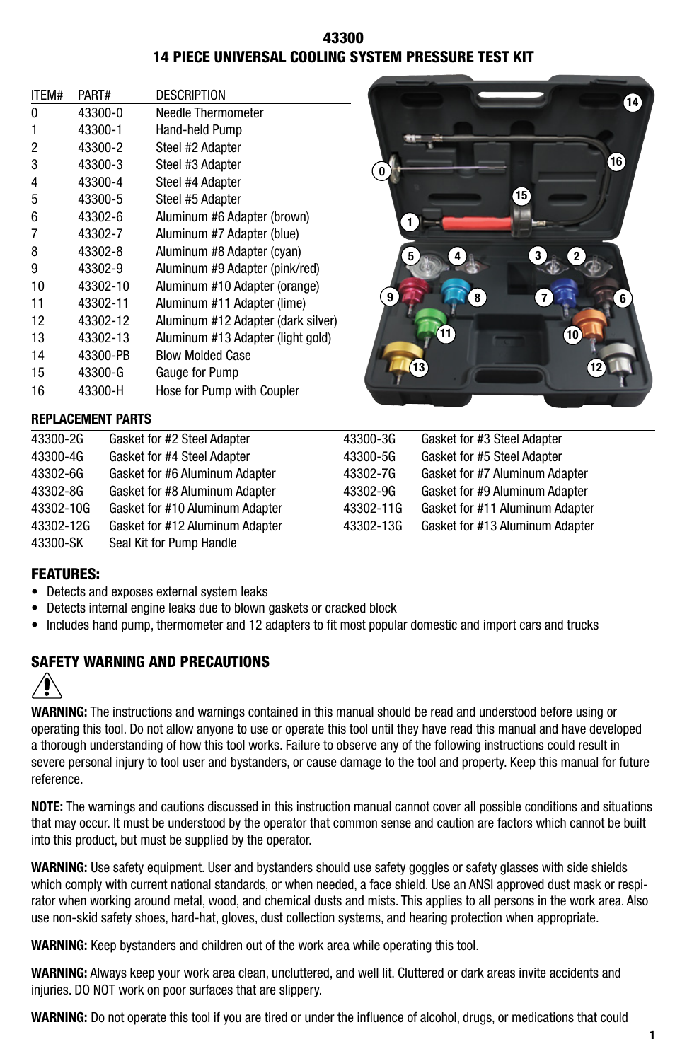# 43300 14 PIECE UNIVERSAL COOLING SYSTEM PRESSURE TEST KIT

| ITEM# | PART#    | <b>DESCRIPTION</b>                 |
|-------|----------|------------------------------------|
| 0     | 43300-0  | Needle Thermometer                 |
| 1     | 43300-1  | Hand-held Pump                     |
| 2     | 43300-2  | Steel #2 Adapter                   |
| 3     | 43300-3  | Steel #3 Adapter                   |
| 4     | 43300-4  | Steel #4 Adapter                   |
| 5     | 43300-5  | Steel #5 Adapter                   |
| 6     | 43302-6  | Aluminum #6 Adapter (brown)        |
| 7     | 43302-7  | Aluminum #7 Adapter (blue)         |
| 8     | 43302-8  | Aluminum #8 Adapter (cyan)         |
| 9     | 43302-9  | Aluminum #9 Adapter (pink/red)     |
| 10    | 43302-10 | Aluminum #10 Adapter (orange)      |
| 11    | 43302-11 | Aluminum #11 Adapter (lime)        |
| 12    | 43302-12 | Aluminum #12 Adapter (dark silver) |
| 13    | 43302-13 | Aluminum #13 Adapter (light gold)  |
| 14    | 43300-PB | <b>Blow Molded Case</b>            |
| 15    | 43300-G  | Gauge for Pump                     |
| 16    | 43300-H  | Hose for Pump with Coupler         |



## **REPLACEMENT PARTS**

| 43300-2G  | Gasket for #2 Steel Adapter     | 43300-3G  | Gasket for #3 Steel Adapter     |
|-----------|---------------------------------|-----------|---------------------------------|
| 43300-4G  | Gasket for #4 Steel Adapter     | 43300-5G  | Gasket for #5 Steel Adapter     |
| 43302-6G  | Gasket for #6 Aluminum Adapter  | 43302-7G  | Gasket for #7 Aluminum Adapter  |
| 43302-8G  | Gasket for #8 Aluminum Adapter  | 43302-9G  | Gasket for #9 Aluminum Adapter  |
| 43302-10G | Gasket for #10 Aluminum Adapter | 43302-11G | Gasket for #11 Aluminum Adapter |
| 43302-12G | Gasket for #12 Aluminum Adapter | 43302-13G | Gasket for #13 Aluminum Adapter |
| 43300-SK  | Seal Kit for Pump Handle        |           |                                 |

# FEATURES:

- Detects and exposes external system leaks
- Detects internal engine leaks due to blown gaskets or cracked block
- Includes hand pump, thermometer and 12 adapters to fit most popular domestic and import cars and trucks

# SAFETY WARNING AND PRECAUTIONS



**WARNING:** The instructions and warnings contained in this manual should be read and understood before using or operating this tool. Do not allow anyone to use or operate this tool until they have read this manual and have developed a thorough understanding of how this tool works. Failure to observe any of the following instructions could result in severe personal injury to tool user and bystanders, or cause damage to the tool and property. Keep this manual for future reference.

**NOTE:** The warnings and cautions discussed in this instruction manual cannot cover all possible conditions and situations that may occur. It must be understood by the operator that common sense and caution are factors which cannot be built into this product, but must be supplied by the operator.

**WARNING:** Use safety equipment. User and bystanders should use safety goggles or safety glasses with side shields which comply with current national standards, or when needed, a face shield. Use an ANSI approved dust mask or respirator when working around metal, wood, and chemical dusts and mists. This applies to all persons in the work area. Also use non-skid safety shoes, hard-hat, gloves, dust collection systems, and hearing protection when appropriate.

**WARNING:** Keep bystanders and children out of the work area while operating this tool.

**WARNING:** Always keep your work area clean, uncluttered, and well lit. Cluttered or dark areas invite accidents and injuries. DO NOT work on poor surfaces that are slippery.

**WARNING:** Do not operate this tool if you are tired or under the influence of alcohol, drugs, or medications that could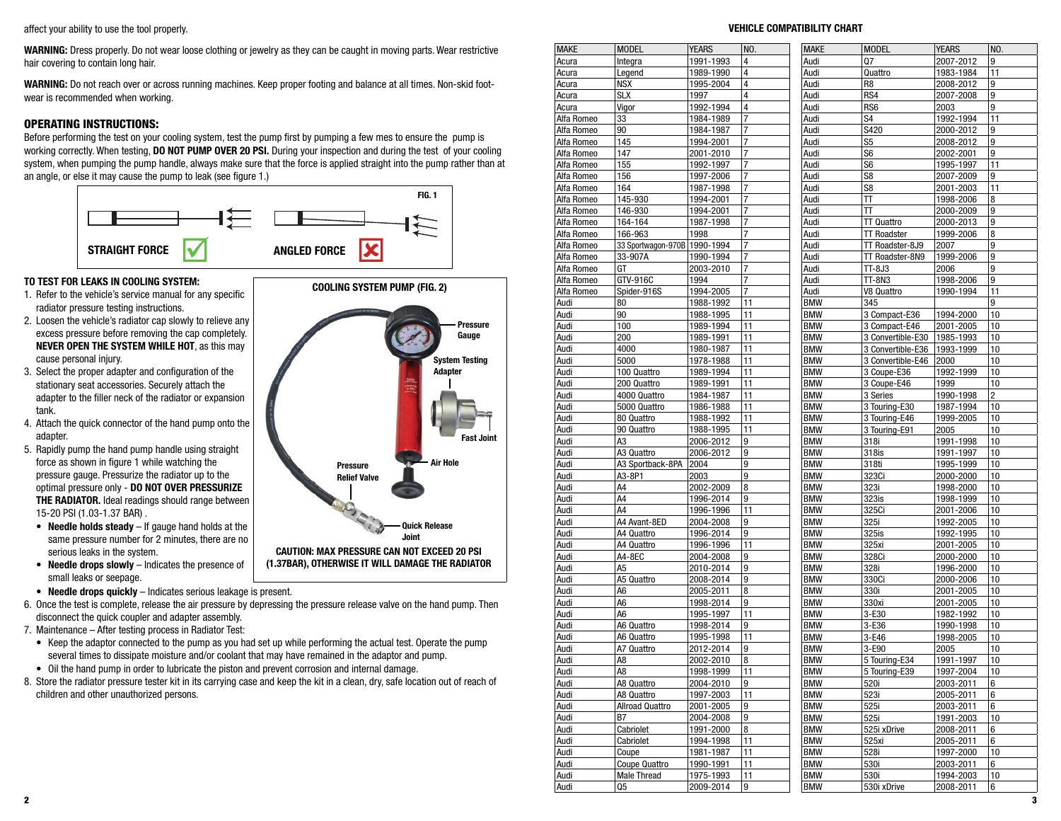affect your ability to use the tool properly.

**WARNING:** Dress properly. Do not wear loose clothing or jewelry as they can be caught in moving parts. Wear restrictive hair covering to contain long hair.

**WARNING:** Do not reach over or across running machines. Keep proper footing and balance at all times. Non-skid footwear is recommended when working.

# OPERATING INSTRUCTIONS:

Before performing the test on your cooling system, test the pump first by pumping a few mes to ensure the pump is working correctly. When testing, **DO NOT PUMP OVER 20 PSI.** During your inspection and during the test of your cooling system, when pumping the pump handle, always make sure that the force is applied straight into the pump rather than at an angle, or else it may cause the pump to leak (see figure 1.)



**COOLING SYSTEM PUMP (FIG. 2)**

**Pressure Relief Valve**

**CAUTION: MAX PRESSURE CAN NOT EXCEED 20 PSI (1.37BAR), OTHERWISE IT WILL DAMAGE THE RADIATOR**

**Pressure Gauge**

**System Testing Adapter**

**Fast Joint**

**Air Hole**

**Quick Release Joint**

# **TO TEST FOR LEAKS IN COOLING SYSTEM:**

- 1. Refer to the vehicle's service manual for any specific radiator pressure testing instructions.
- 2. Loosen the vehicle's radiator cap slowly to relieve any excess pressure before removing the cap completely. **NEVER OPEN THE SYSTEM WHILE HOT**, as this may cause personal injury.
- 3. Select the proper adapter and configuration of the stationary seat accessories. Securely attach the adapter to the filler neck of the radiator or expansion tank.
- 4. Attach the quick connector of the hand pump onto the adapter.
- 5. Rapidly pump the hand pump handle using straight force as shown in figure 1 while watching the pressure gauge. Pressurize the radiator up to the optimal pressure only - **DO NOT OVER PRESSURIZE THE RADIATOR.** Ideal readings should range between 15-20 PSI (1.03-1.37 BAR) .
- **• Needle holds steady** If gauge hand holds at the same pressure number for 2 minutes, there are no serious leaks in the system.
- **• Needle drops slowly** Indicates the presence of small leaks or seepage.
- **• Needle drops quickly** Indicates serious leakage is present.
- 6. Once the test is complete, release the air pressure by depressing the pressure release valve on the hand pump. Then disconnect the quick coupler and adapter assembly.
- 7. Maintenance After testing process in Radiator Test:
	- Keep the adaptor connected to the pump as you had set up while performing the actual test. Operate the pump several times to dissipate moisture and/or coolant that may have remained in the adaptor and pump.
	- Oil the hand pump in order to lubricate the piston and prevent corrosion and internal damage.
- 8. Store the radiator pressure tester kit in its carrying case and keep the kit in a clean, dry, safe location out of reach of children and other unauthorized persons.

| <b>MAKE</b>  | <b>MODEL</b>                   | <b>YEARS</b> | NO.            | <b>MAKE</b> | <b>MODEL</b>       | <b>YEARS</b> | NO. |
|--------------|--------------------------------|--------------|----------------|-------------|--------------------|--------------|-----|
| Acura        | Integra                        | 1991-1993    | 4              | Audi        | Q7                 | 2007-2012    | 9   |
| Acura        | Legend                         | 1989-1990    | 4              | Audi        | Quattro            | 1983-1984    | 11  |
| Acura        | <b>NSX</b>                     | 1995-2004    | 4              | Audi        | R8                 | 2008-2012    | 9   |
| Acura        | <b>SLX</b>                     | 1997         | 4              | Audi        | RS4                | 2007-2008    | 9   |
| Acura        | Vigor                          | 1992-1994    | 4              | Audi        | RS6                | 2003         | 9   |
| Alfa Romeo   | 33                             | 1984-1989    | 7              | Audi        | S4                 | 1992-1994    | 11  |
| Alfa Romeo   | 90                             | 1984-1987    | 7              | Audi        | S420               | 2000-2012    | 9   |
| Alfa Romeo   | 145                            | 1994-2001    | 7              | Audi        | S5                 | 2008-2012    | 9   |
| Alfa Romeo   | 147                            | 2001-2010    | $\overline{7}$ | Audi        | S6                 | 2002-2001    | 9   |
| Alfa Romeo   | 155                            | 1992-1997    | $\overline{7}$ | Audi        | S6                 | 1995-1997    | 11  |
| Alfa Romeo   | 156                            | 1997-2006    | 7              | Audi        | S8                 | 2007-2009    | 9   |
| Alfa Romeo   | 164                            | 1987-1998    | 7              | Audi        | S8                 | 2001-2003    | 11  |
| Alfa Romeo   | 145-930                        | 1994-2001    | 7              | Audi        | Π                  | 1998-2006    | 8   |
| Alfa Romeo   | 146-930                        | 1994-2001    | 7              | Audi        | π                  | 2000-2009    | 9   |
| Alfa Romeo   | 164-164                        | 1987-1998    | 7              | Audi        | <b>TT Quattro</b>  | 2000-2013    | 9   |
| Alfa Romeo   | 166-963                        | 1998         | 7              | Audi        | <b>TT Roadster</b> | 1999-2006    | 8   |
|              |                                |              | $\overline{7}$ | Audi        |                    |              | 9   |
| Alfa Romeo   | 33 Sportwagon-970B   1990-1994 |              | $\overline{7}$ |             | TT Roadster-8J9    | 2007         | 9   |
| Alfa Romeo   | 33-907A                        | 1990-1994    |                | Audi        | TT Roadster-8N9    | 1999-2006    |     |
| Alfa Romeo   | GT                             | 2003-2010    | 7              | Audi        | TT-8J3             | 2006         | 9   |
| Alfa Romeo   | GTV-916C                       | 1994         | 7              | Audi        | TT-8N3             | 1998-2006    | 9   |
| Alfa Romeo   | Spider-916S                    | 1994-2005    | $\overline{7}$ | Audi        | V8 Quattro         | 1990-1994    | 11  |
| Audi         | 80                             | 1988-1992    | 11             | <b>BMW</b>  | 345                |              | 9   |
| Audi         | 90                             | 1988-1995    | 11             | <b>BMW</b>  | 3 Compact-E36      | 1994-2000    | 10  |
| Audi         | 100                            | 1989-1994    | 11             | <b>BMW</b>  | 3 Compact-E46      | 2001-2005    | 10  |
| Audi         | 200                            | 1989-1991    | 11             | <b>BMW</b>  | 3 Convertible-E30  | 1985-1993    | 10  |
| Audi         | 4000                           | 1980-1987    | 11             | <b>BMW</b>  | 3 Convertible-E36  | 1993-1999    | 10  |
| Audi         | 5000                           | 1978-1988    | 11             | <b>BMW</b>  | 3 Convertible-E46  | 2000         | 10  |
| Audi         | 100 Quattro                    | 1989-1994    | 11             | <b>BMW</b>  | 3 Coupe-E36        | 1992-1999    | 10  |
| Audi         | 200 Quattro                    | 1989-1991    | 11             | <b>BMW</b>  | 3 Coupe-E46        | 1999         | 10  |
| Audi         | 4000 Quattro                   | 1984-1987    | 11             | <b>BMW</b>  | 3 Series           | 1990-1998    | 2   |
| Audi         | 5000 Quattro                   | 1986-1988    | 11             | <b>BMW</b>  | 3 Touring-E30      | 1987-1994    | 10  |
| Audi         | 80 Quattro                     | 1988-1992    | 11             | <b>BMW</b>  | 3 Touring-E46      | 1999-2005    | 10  |
| Audi         | 90 Quattro                     | 1988-1995    | 11             | <b>BMW</b>  | 3 Touring-E91      | 2005         | 10  |
| Audi         | A3                             | 2006-2012    | 9              | <b>BMW</b>  | 318i               | 1991-1998    | 10  |
| Audi         | A3 Quattro                     | 2006-2012    | 9              | <b>BMW</b>  | 318is              | 1991-1997    | 10  |
| Audi         | A3 Sportback-8PA               | 2004         | 9              | <b>BMW</b>  | 318ti              | 1995-1999    | 10  |
| Audi         | A3-8P1                         | 2003         | 9              | <b>BMW</b>  | 323Ci              | 2000-2000    | 10  |
| Audi         | A4                             | 2002-2009    | 8              | <b>BMW</b>  | 323i               | 1998-2000    | 10  |
| Audi         | A4                             | 1996-2014    | 9              | <b>BMW</b>  | 323is              | 1998-1999    | 10  |
| Audi         | A4                             | 1996-1996    | 11             | <b>BMW</b>  | 325Ci              | 2001-2006    | 10  |
| Audi         | A4 Avant-8ED                   | 2004-2008    | 9              | <b>BMW</b>  | 325i               | 1992-2005    | 10  |
| Audi         | A4 Quattro                     | 1996-2014    | 9              | <b>BMW</b>  | 325is              | 1992-1995    | 10  |
| Audi         | A4 Quattro                     | 1996-1996    | 11             | <b>BMW</b>  | 325xi              | 2001-2005    | 10  |
| Audi         | A4-8EC                         | 2004-2008    | 9              | <b>BMW</b>  | 328Ci              | 2000-2000    | 10  |
| Audi         | A5                             | 2010-2014    | 9              | <b>BMW</b>  | 328i               | 1996-2000    | 10  |
|              | A5 Quattro                     | 2008-2014    | 9              | <b>BMW</b>  | 330Ci              | 2000-2006    | 10  |
| Audi         |                                |              |                | <b>BMW</b>  |                    |              | 10  |
| Audi         | A6                             | 2005-2011    | 8<br>9         |             | 330i               | 2001-2005    |     |
| Audi         | A6                             | 1998-2014    |                | <b>BMW</b>  | 330xi              | 2001-2005    | 10  |
| Audi         | A <sub>6</sub>                 | 1995-1997    | 11             | <b>BMW</b>  | 3-E30              | 1982-1992    | 10  |
| Audi         | A6 Quattro                     | 1998-2014    | 9              | <b>BMW</b>  | 3-E36              | 1990-1998    | 10  |
| Audi         | A6 Quattro                     | 1995-1998    | 11             | <b>BMW</b>  | 3-E46              | 1998-2005    | 10  |
| <u>Au</u> di | A/ Quaπro                      | 2012-2014    | 9              | <b>BMW</b>  | 3-E90              | 2005         | 10  |
| Audi         | A8                             | 2002-2010    | 8              | <b>BMW</b>  | 5 Touring-E34      | 1991-1997    | 10  |
| Audi         | A8                             | 1998-1999    | 11             | <b>BMW</b>  | 5 Touring-E39      | 1997-2004    | 10  |
| Audi         | A8 Quattro                     | 2004-2010    | 9              | <b>BMW</b>  | 520i               | 2003-2011    | 6   |
| Audi         | A8 Quattro                     | 1997-2003    | 11             | <b>BMW</b>  | 523i               | 2005-2011    | 6   |
| Audi         | <b>Allroad Quattro</b>         | 2001-2005    | 9              | <b>BMW</b>  | 525i               | 2003-2011    | 6   |
| Audi         | B7                             | 2004-2008    | 9              | <b>BMW</b>  | 525i               | 1991-2003    | 10  |
| Audi         | Cabriolet                      | 1991-2000    | 8              | <b>BMW</b>  | 525i xDrive        | 2008-2011    | 6   |
| Audi         | Cabriolet                      | 1994-1998    | 11             | <b>BMW</b>  | 525xi              | 2005-2011    | 6   |
| Audi         | Coupe                          | 1981-1987    | 11             | <b>BMW</b>  | 528i               | 1997-2000    | 10  |
| Audi         | Coupe Quattro                  | 1990-1991    | 11             | <b>BMW</b>  | 530i               | 2003-2011    | 6   |
| Audi         | <b>Male Thread</b>             | 1975-1993    | 11             | <b>BMW</b>  | 530i               | 1994-2003    | 10  |
| Audi         | Q5                             | 2009-2014    | 9              | <b>BMW</b>  | 530i xDrive        | 2008-2011    | 6   |
|              |                                |              |                |             |                    |              |     |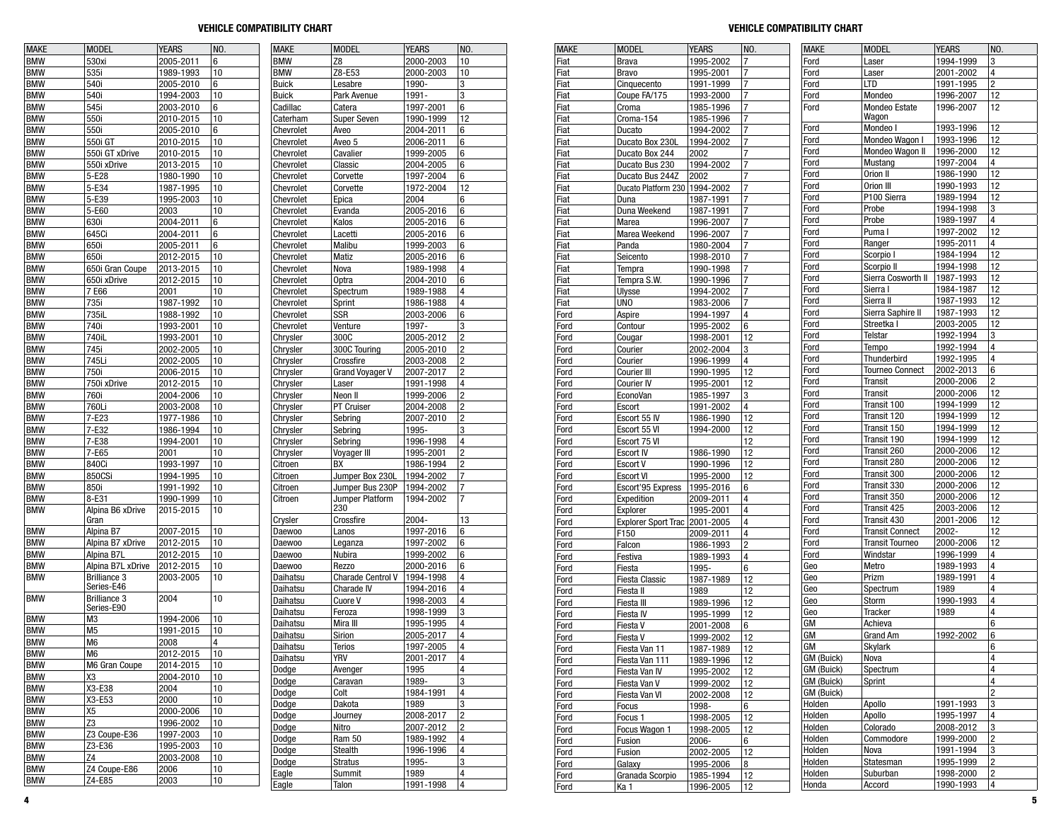| <b>MAKE</b> | <b>MODEL</b>                      | <b>YEARS</b> | NO.                     | <b>MAKE</b>   | <b>MODEL</b>             | <b>YEARS</b> | NO.                     |
|-------------|-----------------------------------|--------------|-------------------------|---------------|--------------------------|--------------|-------------------------|
| <b>BMW</b>  | 530xi                             | 2005-2011    | 6                       | <b>BMW</b>    | Z8                       | 2000-2003    | 10                      |
| <b>BMW</b>  | 535i                              | 1989-1993    | 10                      | <b>BMW</b>    | Z8-E53                   | 2000-2003    | 10                      |
| <b>BMW</b>  | 540i                              |              | 6                       | <b>Buick</b>  | Lesabre                  | 1990-        | 3                       |
|             |                                   | 2005-2010    |                         |               |                          |              |                         |
| <b>BMW</b>  | 540i                              | 1994-2003    | 10                      | <b>Buick</b>  | Park Avenue              | 1991-        | 3                       |
| <b>BMW</b>  | 545i                              | 2003-2010    | 6                       | Cadillac      | Catera                   | 1997-2001    | 6                       |
| <b>BMW</b>  | 550i                              | 2010-2015    | 10                      | Caterham      | <b>Super Seven</b>       | 1990-1999    | 12                      |
| <b>BMW</b>  | 550i                              | 2005-2010    | 6                       | Chevrolet     | Aveo                     | 2004-2011    | 6                       |
| <b>BMW</b>  | 550i GT                           | 2010-2015    | 10                      | Chevrolet     | Aveo 5                   | 2006-2011    | 6                       |
| <b>BMW</b>  | 550i GT xDrive                    | 2010-2015    | 10                      | Chevrolet     | Cavalier                 | 1999-2005    | 6                       |
| <b>BMW</b>  | 550i xDrive                       | 2013-2015    | 10                      | Chevrolet     | Classic                  | 2004-2005    | 6                       |
| <b>BMW</b>  | 5-E28                             | 1980-1990    | 10                      | Chevrolet     | Corvette                 | 1997-2004    | 6                       |
| <b>BMW</b>  | 5-E34                             | 1987-1995    | 10                      | Chevrolet     | Corvette                 | 1972-2004    | 12                      |
| <b>BMW</b>  | 5-E39                             | 1995-2003    | 10                      | Chevrolet     | Epica                    | 2004         | 6                       |
| <b>BMW</b>  | 5-E60                             | 2003         | 10                      | Chevrolet     | Evanda                   | 2005-2016    | 6                       |
| <b>BMW</b>  | 630i                              | 2004-2011    | 6                       | Chevrolet     | Kalos                    | 2005-2016    | 6                       |
| <b>BMW</b>  | 645Ci                             | 2004-2011    | 6                       | Chevrolet     | Lacetti                  | 2005-2016    | 6                       |
| <b>BMW</b>  | 650i                              | 2005-2011    | 6                       | Chevrolet     | Malibu                   | 1999-2003    | 6                       |
| <b>BMW</b>  | 650i                              | 2012-2015    | 10                      | Chevrolet     | Matiz                    | 2005-2016    | 6                       |
| <b>BMW</b>  | 650i Gran Coupe                   | 2013-2015    | 10                      | Chevrolet     | Nova                     | 1989-1998    | 4                       |
| <b>BMW</b>  |                                   |              | 10                      |               | <b>Optra</b>             |              | 6                       |
|             | 650i xDrive                       | 2012-2015    |                         | Chevrolet     |                          | 2004-2010    |                         |
| <b>BMW</b>  | 7 E66                             | 2001         | 10                      | Chevrolet     | Spectrum                 | 1989-1988    | 4                       |
| <b>BMW</b>  | 735i                              | 1987-1992    | 10                      | Chevrolet     | Sprint                   | 1986-1988    | 4                       |
| <b>BMW</b>  | 735iL                             | 1988-1992    | 10                      | Chevrolet     | SSR                      | 2003-2006    | 6                       |
| <b>BMW</b>  | 740i                              | 1993-2001    | 10                      | Chevrolet     | Venture                  | 1997-        | 3                       |
| <b>BMW</b>  | 740iL                             | 1993-2001    | 10                      | Chrysler      | 300C                     | 2005-2012    | 2                       |
| <b>BMW</b>  | 745i                              | 2002-2005    | 10                      | Chrysler      | 300C Touring             | 2005-2010    | 2                       |
| <b>BMW</b>  | 745Li                             | 2002-2005    | 10                      | Chrysler      | Crossfire                | 2003-2008    | $\overline{c}$          |
| <b>BMW</b>  | 750i                              | 2006-2015    | 10                      | Chrysler      | <b>Grand Voyager V</b>   | 2007-2017    | 2                       |
| <b>BMW</b>  | 750i xDrive                       | 2012-2015    | 10                      | Chrysler      | Laser                    | 1991-1998    | 4                       |
| <b>BMW</b>  | 760i                              | 2004-2006    | 10                      | Chrysler      | Neon II                  | 1999-2006    | $\overline{c}$          |
| <b>BMW</b>  | 760Li                             | 2003-2008    | 10                      | Chrysler      | PT Cruiser               | 2004-2008    | 2                       |
| <b>BMW</b>  | 7-E23                             | 1977-1986    | 10                      | Chrysler      | Sebring                  | 2007-2010    | 2                       |
| <b>BMW</b>  | 7-E32                             | 1986-1994    | 10                      | Chrysler      | Sebrina                  | 1995-        | 3                       |
| <b>BMW</b>  | 7-E38                             | 1994-2001    | 10                      | Chrysler      | Sebring                  | 1996-1998    | 4                       |
| <b>BMW</b>  | 7-E65                             | 2001         | 10                      | Chrysler      | Voyager III              | 1995-2001    | $\overline{c}$          |
| <b>BMW</b>  | 840Ci                             | 1993-1997    | 10                      | Citroen       | BX                       | 1986-1994    | 2                       |
| <b>BMW</b>  | 850CSi                            | 1994-1995    | 10                      | Citroen       | Jumper Box 230L          | 1994-2002    | 7                       |
| <b>BMW</b>  | 850i                              | 1991-1992    | 10                      | Citroen       | Jumper Bus 230P          | 1994-2002    | 7                       |
| <b>BMW</b>  | 8-E31                             | 1990-1999    | 10                      | Citroen       | Jumper Platform          | 1994-2002    | 7                       |
| <b>BMW</b>  | Alpina B6 xDrive                  | 2015-2015    | 10                      |               | 230                      |              |                         |
|             | Gran                              |              |                         | Crysler       | Crossfire                | 2004-        | 13                      |
| <b>BMW</b>  | Alpina B7                         | 2007-2015    | 10                      | Daewoo        | Lanos                    | 1997-2016    | 6                       |
| <b>BMW</b>  | Alpina B7 xDrive                  | 2012-2015    | 10                      | Daewoo        | Leganza                  | 1997-2002    | 6                       |
| <b>BMW</b>  | Alpina B7L                        | 2012-2015    | 10                      | <b>Daewoo</b> | Nubira                   | 1999-2002    | 6                       |
| <b>BMW</b>  | Alpina B7L xDrive                 | 2012-2015    | 10                      | Daewoo        | Rezzo                    | 2000-2016    | 6                       |
| <b>BMW</b>  | <b>Brilliance 3</b>               | 2003-2005    | 10                      | Daihatsu      | <b>Charade Centrol V</b> | 1994-1998    | 4                       |
|             | Series-E46                        |              |                         | Daihatsu      | <b>Charade IV</b>        | 1994-2016    | 4                       |
| <b>BMW</b>  | <b>Brilliance 3</b><br>Series-E90 | 2004         | 10                      | Daihatsu      | Cuore V                  | 1998-2003    | 4                       |
| <b>BMW</b>  | M3                                | 1994-2006    | 10                      | Daihatsu      | Feroza                   | 1998-1999    | 3                       |
| <b>BMW</b>  | M <sub>5</sub>                    | 1991-2015    | 10                      | Daihatsu      | Mira III                 | 1995-1995    | 4                       |
| <b>BMW</b>  | M6                                | 2008         | $\overline{\mathbf{4}}$ | Daihatsu      | Sirion                   | 2005-2017    | 4                       |
|             | M6                                |              |                         | Daihatsu      | Terios                   | 1997-2005    | $\overline{\mathbf{4}}$ |
| <b>BMW</b>  |                                   | 2012-2015    | 10                      | Daihatsu      | yrv                      | 2001-2017    | 4                       |
| <b>BMW</b>  | M6 Gran Coupe                     | 2014-2015    | 10                      | Dodge         | Avenger                  | 1995         | 4                       |
| <b>BMW</b>  | X3                                | 2004-2010    | 10                      | Dodge         | Caravan                  | 1989-        | 3                       |
| <b>BMW</b>  | X3-E38                            | 2004         | 10                      | Dodge         | Colt                     | 1984-1991    | 4                       |
| <b>BMW</b>  | X3-E53                            | 2000         | 10                      | Dodge         | Dakota                   | 1989         | 3                       |
| <b>BMW</b>  | Х5                                | 2000-2006    | 10                      | Dodge         | Journey                  | 2008-2017    | 2                       |
| <b>BMW</b>  | Z3                                | 1996-2002    | 10                      | Dodge         | Nitro                    | 2007-2012    | 2                       |
| <b>BMW</b>  | Z3 Coupe-E36                      | 1997-2003    | 10                      | Dodge         | Ram 50                   | 1989-1992    | 4                       |
| <b>BMW</b>  | Z3-E36                            | 1995-2003    | 10                      | Dodge         | Stealth                  | 1996-1996    | 4                       |
| <b>BMW</b>  | Ζ4                                | 2003-2008    | 10                      | Dodge         | Stratus                  | 1995-        | 3                       |
| <b>BMW</b>  | Z4 Coupe-E86                      | 2006         | 10                      | Eagle         | Summit                   | 1989         | 4                       |
| <b>BMW</b>  | Z4-E85                            | 2003         | 10                      | Engla         | Tolon                    | 1001 1008    |                         |

| MAKE          | <b>MODEL</b>             | YEAKS     | NU. |
|---------------|--------------------------|-----------|-----|
| BMW           | Z8                       | 2000-2003 | 10  |
| <b>BMW</b>    | Z8-E53                   | 2000-2003 | 10  |
| Buick         | Lesabre                  | 1990-     | 3   |
| Buick         | Park Avenue              | 1991-     | 3   |
| Cadillac      | Catera                   | 1997-2001 | 6   |
| Caterham      | <b>Super Seven</b>       | 1990-1999 | 12  |
|               |                          |           |     |
| Chevrolet     | Aveo                     | 2004-2011 | 6   |
| Chevrolet     | Aveo 5                   | 2006-2011 | 6   |
| Chevrolet     | Cavalier                 | 1999-2005 | 6   |
| Chevrolet     | Classic                  | 2004-2005 | 6   |
| Chevrolet     | Corvette                 | 1997-2004 | 6   |
| Chevrolet     | Corvette                 | 1972-2004 | 12  |
| Chevrolet     | Epica                    | 2004      | 6   |
| Chevrolet     | Evanda                   | 2005-2016 | 6   |
| Chevrolet     | Kalos                    | 2005-2016 | 6   |
|               |                          | 2005-2016 |     |
| Chevrolet     | Lacetti                  |           | 6   |
| Chevrolet     | Malibu                   | 1999-2003 | 6   |
| Chevrolet     | Matiz                    | 2005-2016 | 6   |
| Chevrolet     | Nova                     | 1989-1998 | 4   |
| Chevrolet     | <b>Optra</b>             | 2004-2010 | 6   |
| Chevrolet     | Spectrum                 | 1989-1988 | 4   |
| Chevrolet     | Sprint                   | 1986-1988 | 4   |
| Chevrolet     | SSR                      | 2003-2006 | 6   |
| Chevrolet     | Venture                  | 1997-     | 3   |
|               |                          |           |     |
| Chrysler      | 300C                     | 2005-2012 | 2   |
| Chrysler      | 300C Touring             | 2005-2010 | 2   |
| Chrysler      | Crossfire                | 2003-2008 | 2   |
| Chrysler      | <b>Grand Voyager V</b>   | 2007-2017 | 2   |
| Chrysler      | Laser                    | 1991-1998 | 4   |
| Chrysler      | Neon II                  | 1999-2006 | 2   |
| Chrysler      | PT Cruiser               | 2004-2008 | 2   |
| Chrysler      | Sebring                  | 2007-2010 | 2   |
|               | Sebring                  | 1995-     | 3   |
| Chrysler      |                          |           |     |
| Chrysler      | Sebring                  | 1996-1998 | 4   |
| Chrysler      | Voyager III              | 1995-2001 | 2   |
| Citroen       | BХ                       | 1986-1994 | 2   |
| Citroen       | Jumper Box 230L          | 1994-2002 | 7   |
| Citroen       | Jumper Bus 230P          | 1994-2002 | 7   |
| Citroen       | Jumper Platform<br>230   | 1994-2002 | 7   |
| Crysler       | Crossfire                | 2004-     | 13  |
| Daewoo        | Lanos                    | 1997-2016 | 6   |
| Daewoo        | Leganza                  | 1997-2002 | 6   |
| Daewoo        | Nubira                   | 1999-2002 | 6   |
| <b>Daewoo</b> | Rezzo                    | 2000-2016 | 6   |
| Daihatsu      |                          |           | 4   |
|               | <b>Charade Centrol V</b> | 1994-1998 |     |
| Daihatsu      | <b>Charade IV</b>        | 1994-2016 | 4   |
| Daihatsu      | Cuore V                  | 1998-2003 | 4   |
| Daihatsu      | Feroza                   | 1998-1999 | 3   |
| Daihatsu      | Mira III                 | 1995-1995 | 4   |
| Daihatsu      | Sirion                   | 2005-2017 | 4   |
| Daihatsu      | Terios                   | 1997-2005 | 4   |
| Daihatsu      | YRV                      | 2001-2017 | 4   |
| Dodge         |                          | 1995      | 4   |
|               | Avenger                  |           |     |
| Dodge         | Caravan                  | 1989-     | 3   |
| Dodge         | Colt                     | 1984-1991 | 4   |
| Dodge         | Dakota                   | 1989      | 3   |
| Dodge         | Journey                  | 2008-2017 | 2   |
| Dodge         | Nitro                    | 2007-2012 | 2   |
| Dodge         | Ram 50                   | 1989-1992 | 4   |
| Dodge         | Stealth                  | 1996-1996 | 4   |
| Dodge         | <b>Stratus</b>           | 1995-     | 3   |
|               | Summit                   | 1989      |     |
| Eagle         |                          |           | 4   |
| Eagle         | Talon                    | 1991-1998 | 4   |

| <b>MAKE</b> | <b>MODEL</b>                    | <b>YEARS</b> | NO.            | <b>MAKE</b> | <b>MODEL</b>           | <b>YEARS</b> | NO.                     |
|-------------|---------------------------------|--------------|----------------|-------------|------------------------|--------------|-------------------------|
| Fiat        | Brava                           | 1995-2002    | 7              | Ford        | Laser                  | 1994-1999    | 3                       |
| Fiat        | <b>Bravo</b>                    | 1995-2001    | 7              | Ford        | Laser                  | 2001-2002    | $\overline{\mathbf{4}}$ |
| Fiat        | Cinquecento                     | 1991-1999    | 7              | Ford        | <b>LTD</b>             | 1991-1995    | $\overline{c}$          |
| Fiat        | Coupe FA/175                    | 1993-2000    | 7              | Ford        | Mondeo                 | 1996-2007    | 12                      |
| Fiat        | Croma                           | 1985-1996    | 7              | Ford        | Mondeo Estate          | 1996-2007    | 12                      |
| Fiat        | Croma-154                       | 1985-1996    | 7              |             | Wagon                  |              |                         |
| Fiat        | Ducato                          | 1994-2002    | 7              | Ford        | Mondeo I               | 1993-1996    | 12                      |
|             |                                 | 1994-2002    | 7              | Ford        | Mondeo Wagon I         | 1993-1996    | 12                      |
| Fiat        | Ducato Box 230L                 |              |                | Ford        | Mondeo Wagon II        | 1996-2000    | 12                      |
| Fiat        | Ducato Box 244                  | 2002         | 7              | Ford        | Mustang                | 1997-2004    | 4                       |
| Fiat        | Ducato Bus 230                  | 1994-2002    | $\overline{7}$ | Ford        | Orion II               | 1986-1990    | 12                      |
| Fiat        | Ducato Bus 244Z                 | 2002         | 7              | Ford        | Orion III              |              | 12                      |
| Fiat        | Ducato Platform 230   1994-2002 |              | 7              |             |                        | 1990-1993    |                         |
| Fiat        | Duna                            | 1987-1991    | 7              | Ford        | P100 Sierra            | 1989-1994    | 12                      |
| Fiat        | Duna Weekend                    | 1987-1991    | 7              | Ford        | Probe                  | 1994-1998    | 3                       |
| Fiat        | Marea                           | 1996-2007    | 7              | Ford        | Probe                  | 1989-1997    | $\overline{\mathbf{4}}$ |
| Fiat        | Marea Weekend                   | 1996-2007    | 7              | Ford        | Puma I                 | 1997-2002    | 12                      |
| Fiat        | Panda                           | 1980-2004    | 7              | Ford        | Ranger                 | 1995-2011    | 4                       |
| Fiat        | Seicento                        | 1998-2010    | 7              | Ford        | Scorpio I              | 1984-1994    | 12                      |
| Fiat        | Tempra                          | 1990-1998    | 7              | Ford        | Scorpio II             | 1994-1998    | 12                      |
| Fiat        | Tempra S.W.                     | 1990-1996    | 7              | Ford        | Sierra Cosworth II     | 1987-1993    | 12                      |
| Fiat        | Ulysse                          | 1994-2002    | 7              | Ford        | Sierra I               | 1984-1987    | 12                      |
| Fiat        | <b>UNO</b>                      | 1983-2006    | 7              | Ford        | Sierra II              | 1987-1993    | 12                      |
| Ford        | Aspire                          | 1994-1997    | 4              | Ford        | Sierra Saphire II      | 1987-1993    | 12                      |
| Ford        | Contour                         | 1995-2002    | 6              | Ford        | Streetka I             | 2003-2005    | 12                      |
| Ford        | Cougar                          | 1998-2001    | 12             | Ford        | Telstar                | 1992-1994    | 3                       |
| Ford        | Courier                         | 2002-2004    | 3              | Ford        | Tempo                  | 1992-1994    | $\overline{\mathbf{4}}$ |
| Ford        | Courier                         | 1996-1999    | 4              | Ford        | Thunderbird            | 1992-1995    | 4                       |
| Ford        | Courier III                     | 1990-1995    | 12             | Ford        | <b>Tourneo Connect</b> | 2002-2013    | 6                       |
| Ford        | <b>Courier IV</b>               | 1995-2001    | 12             | Ford        | Transit                | 2000-2006    | $\overline{2}$          |
| Ford        | EconoVan                        | 1985-1997    | 3              | Ford        | Transit                | 2000-2006    | 12                      |
| Ford        | Escort                          | 1991-2002    | 4              | Ford        | Transit 100            | 1994-1999    | 12                      |
| Ford        |                                 | 1986-1990    | 12             | Ford        | Transit 120            | 1994-1999    | 12                      |
|             | Escort 55 IV                    |              | 12             | Ford        | Transit 150            | 1994-1999    | 12                      |
| Ford        | Escort 55 VI                    | 1994-2000    |                | Ford        | Transit 190            | 1994-1999    | 12                      |
| Ford        | Escort 75 VI                    |              | 12<br>12       | Ford        | Transit 260            | 2000-2006    | 12                      |
| Ford        | <b>Escort IV</b>                | 1986-1990    |                | Ford        | Transit 280            | 2000-2006    | 12                      |
| Ford        | Escort V                        | 1990-1996    | 12             | Ford        | Transit 300            | 2000-2006    | 12                      |
| Ford        | <b>Escort VI</b>                | 1995-2000    | 12             | Ford        | Transit 330            | 2000-2006    | 12                      |
| Ford        | Escort'95 Express               | 1995-2016    | 6              | Ford        | Transit 350            | 2000-2006    | 12                      |
| Ford        | Expedition                      | 2009-2011    | 4              |             | Transit 425            | 2003-2006    | 12                      |
| Ford        | Explorer                        | 1995-2001    | 4              | Ford        |                        |              |                         |
| Ford        | <b>Explorer Sport Trac</b>      | 2001-2005    | 4              | Ford        | Transit 430            | 2001-2006    | 12<br>12                |
| Ford        | F150                            | 2009-2011    | 4              | Ford        | <b>Transit Connect</b> | 2002-        |                         |
| Ford        | Falcon                          | 1986-1993    | 2              | Ford        | <b>Transit Tourneo</b> | 2000-2006    | 12                      |
| Ford        | Festiva                         | 1989-1993    | 4              | Ford        | Windstar               | 1996-1999    | 4                       |
| Ford        | Fiesta                          | 1995-        | 6              | Geo         | Metro                  | 1989-1993    | $\overline{\mathbf{4}}$ |
| Ford        | <b>Fiesta Classic</b>           | 1987-1989    | 12             | Geo         | Prizm                  | 1989-1991    | 4                       |
| Ford        | Fiesta II                       | 1989         | 12             | Geo         | Spectrum               | 1989         | $\overline{4}$          |
| Ford        | Fiesta III                      | 1989-1996    | 12             | Geo         | Storm                  | 1990-1993    | 4                       |
| Ford        | Fiesta IV                       | 1995-1999    | 12             | Geo         | Tracker                | 1989         | $\overline{4}$          |
| Ford        | Fiesta V                        | 2001-2008    | 6              | GM          | Achieva                |              | 6                       |
| Ford        | Fiesta V                        | 1999-2002    | 12             | GM          | Grand Am               | 1992-2002    | 6                       |
| rora        | Fiesta Van 11                   | 1987-1989    | 12             | GM          | Skylark                |              | 6                       |
| Ford        | Fiesta Van 111                  | 1989-1996    | 12             | GM (Buick)  | Nova                   |              | 4                       |
| Ford        | Fiesta Van IV                   | 1995-2002    | 12             | GM (Buick)  | Spectrum               |              | $\overline{\mathbf{4}}$ |
| Ford        | Fiesta Van V                    | 1999-2002    | 12             | GM (Buick)  | Sprint                 |              | 4                       |
| Ford        | Fiesta Van VI                   | 2002-2008    | 12             | GM (Buick)  |                        |              | $\overline{c}$          |
| Ford        | Focus                           | 1998-        | 6              | Holden      | Apollo                 | 1991-1993    | 3                       |
| Ford        | Focus 1                         | 1998-2005    | 12             | Holden      | Apollo                 | 1995-1997    | 4                       |
| Ford        | Focus Wagon 1                   | 1998-2005    | 12             | Holden      | Colorado               | 2008-2012    | 3                       |
| Ford        | Fusion                          | 2006-        | 6              | Holden      | Commodore              | 1999-2000    | $\overline{\mathbf{c}}$ |
| Ford        | Fusion                          | 2002-2005    | 12             | Holden      | Nova                   | 1991-1994    | 3                       |
| Ford        | Galaxy                          | 1995-2006    | 8              | Holden      | Statesman              | 1995-1999    | 2                       |
| Ford        | Granada Scorpio                 | 1985-1994    | 12             | Holden      | Suburban               | 1998-2000    | $\overline{\mathbf{c}}$ |
| Ford        | Ka 1                            | 1996-2005    | 12             | Honda       | Accord                 | 1990-1993    | 4                       |
|             |                                 |              |                |             |                        |              |                         |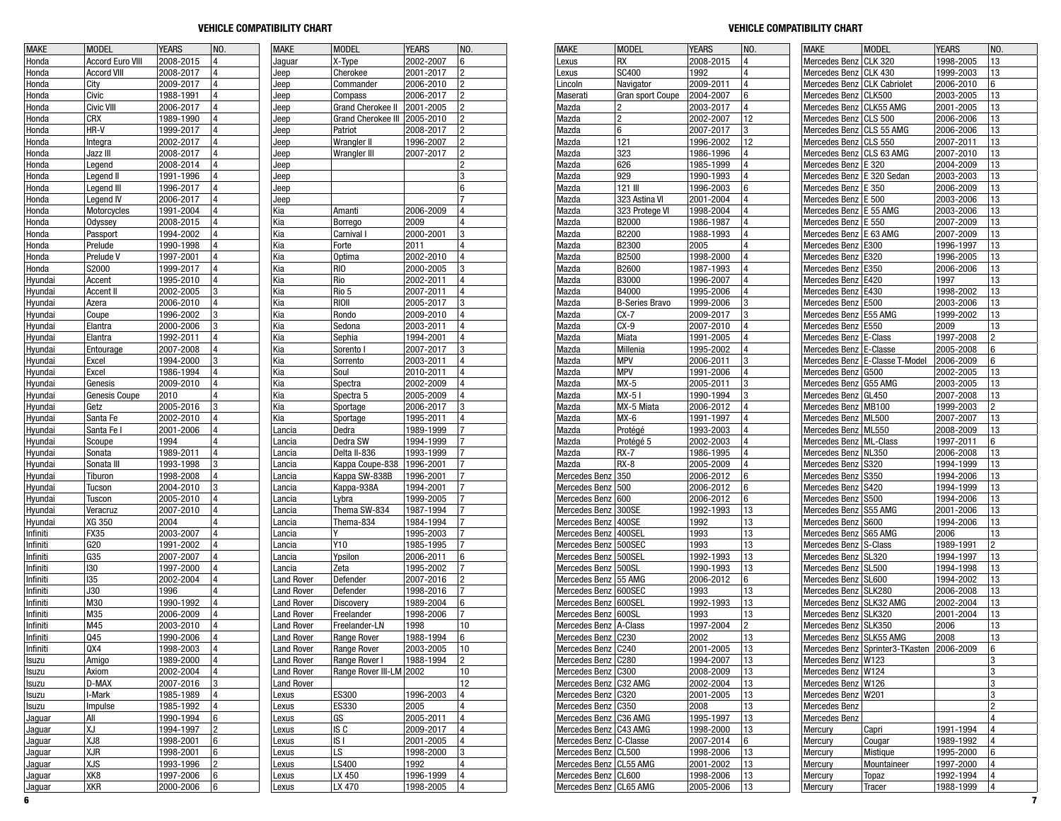| <b>MAKE</b> | <b>MODEL</b>            | <b>YEARS</b> | NO.                     | <b>MAKE</b>       | <b>MODEL</b>              | <b>YEARS</b> | NO.                     |
|-------------|-------------------------|--------------|-------------------------|-------------------|---------------------------|--------------|-------------------------|
| Honda       | <b>Accord Euro VIII</b> | 2008-2015    | 4                       | Jaguar            | X-Type                    | 2002-2007    | 6                       |
| Honda       | <b>Accord VIII</b>      | 2008-2017    | 4                       | Jeep              | Cherokee                  | 2001-2017    | 2                       |
| Honda       | City                    | 2009-2017    | 4                       | Jeep              | Commander                 | 2006-2010    | 2                       |
| Honda       | Civic                   | 1988-1991    | 4                       | Jeep              | Compass                   | 2006-2017    | $\overline{c}$          |
| Honda       | Civic VIII              | 2006-2017    | 4                       | Jeep              | <b>Grand Cherokee II</b>  | 2001-2005    | $\overline{\mathbf{c}}$ |
| Honda       | <b>CRX</b>              | 1989-1990    | 4                       | Jeep              | <b>Grand Cherokee III</b> | 2005-2010    | 2                       |
| Honda       | HR-V                    | 1999-2017    | 4                       | Jeep              | Patriot                   | 2008-2017    | 2                       |
| Honda       | Integra                 | 2002-2017    | 4                       | Jeep              | Wrangler II               | 1996-2007    | 2                       |
| Honda       | Jazz III                | 2008-2017    | 4                       | Jeep              | Wrangler III              | 2007-2017    | 2                       |
| Honda       | Legend                  | 2008-2014    | 4                       | Jeep              |                           |              | 2                       |
| Honda       | Legend II               | 1991-1996    | 4                       | Jeep              |                           |              | 3                       |
| Honda       | Legend III              | 1996-2017    | 4                       | Jeep              |                           |              | 6                       |
| Honda       | Legend IV               | 2006-2017    | 4                       | Jeep              |                           |              | 7                       |
| Honda       | Motorcycles             | 1991-2004    | 4                       | Kia               | Amanti                    | 2006-2009    | 4                       |
| Honda       | Odyssey                 | 2008-2015    | 4                       | Kia               | Borrego                   | 2009         | 4                       |
| Honda       | Passport                |              | 4                       | Kia               |                           | 2000-2001    | 3                       |
|             |                         | 1994-2002    |                         |                   | Carnival I                |              | 4                       |
| Honda       | Prelude                 | 1990-1998    | 4                       | Kia               | Forte                     | 2011         |                         |
| Honda       | Prelude V               | 1997-2001    | 4                       | Kia               | <b>Optima</b>             | 2002-2010    | 4                       |
| Honda       | S2000                   | 1999-2017    | 4                       | Kia               | RIO                       | 2000-2005    | 3                       |
| Hyundai     | Accent                  | 1995-2010    | 4                       | Kia               | Rio                       | 2002-2011    | 4                       |
| Hyundai     | <b>Accent II</b>        | 2002-2005    | 3                       | Kia               | Rio 5                     | 2007-2011    | 4                       |
| Hyundai     | Azera                   | 2006-2010    | 4                       | Kia               | RIOII                     | 2005-2017    | 3                       |
| Hyundai     | Coupe                   | 1996-2002    | 3                       | Kia               | Rondo                     | 2009-2010    | 4                       |
| Hyundai     | Elantra                 | 2000-2006    | 3                       | Kia               | Sedona                    | 2003-2011    | 4                       |
| Hyundai     | Elantra                 | 1992-2011    | 4                       | Kia               | Sephia                    | 1994-2001    | 4                       |
| Hyundai     | Entourage               | 2007-2008    | 4                       | Kia               | Sorento I                 | 2007-2017    | 3                       |
| Hyundai     | Excel                   | 1994-2000    | 3                       | Kia               | Sorrento                  | 2003-2011    | 4                       |
| Hyundai     | Excel                   | 1986-1994    | 4                       | Kia               | Soul                      | 2010-2011    | 4                       |
| Hyundai     | Genesis                 | 2009-2010    | 4                       | Kia               | Spectra                   | 2002-2009    | 4                       |
| Hyundai     | Genesis Coupe           | 2010         | 4                       | Kia               | Spectra 5                 | 2005-2009    | 4                       |
| Hyundai     | Getz                    | 2005-2016    | 3                       | Kia               | Sportage                  | 2006-2017    | 3                       |
| Hyundai     | Santa Fe                | 2002-2010    | 4                       | Kia               | Sportage                  | 1995-2011    | 4                       |
| Hyundai     | Santa Fe I              | 2001-2006    | 4                       | Lancia            | Dedra                     | 1989-1999    | 7                       |
| Hyundai     | Scoupe                  | 1994         | 4                       | Lancia            | Dedra SW                  | 1994-1999    | 7                       |
| Hyundai     | Sonata                  | 1989-2011    | 4                       | Lancia            | Delta II-836              | 1993-1999    | 7                       |
| Hyundai     | Sonata III              | 1993-1998    | 3                       | Lancia            | Kappa Coupe-838           | 1996-2001    | 7                       |
| Hyundai     | Tiburon                 | 1998-2008    | 4                       | Lancia            | Kappa SW-838B             | 1996-2001    | 7                       |
| Hyundai     | <b>Tucson</b>           | 2004-2010    | 3                       | Lancia            | Kappa-938A                | 1994-2001    | 7                       |
| Hyundai     | Tuscon                  | 2005-2010    | 4                       | Lancia            | Lybra                     | 1999-2005    | 7                       |
| Hyundai     | Veracruz                | 2007-2010    | 4                       | Lancia            | Thema SW-834              | 1987-1994    | 7                       |
| Hyundai     | XG 350                  | 2004         | 4                       | Lancia            | Thema-834                 | 1984-1994    | 7                       |
|             |                         |              | 4                       |                   | Y                         |              | 7                       |
| Infiniti    | FX35                    | 2003-2007    | 4                       | Lancia            |                           | 1995-2003    |                         |
| Infiniti    | G20                     | 1991-2002    |                         | Lancia            | Y10                       | 1985-1995    | 7                       |
| Infiniti    | G35                     | 2007-2007    | 4                       | Lancia            | Ypsilon                   | 2006-2011    | 6                       |
| Infiniti    | 130                     | 1997-2000    | 4                       | Lancia            | Zeta                      | 1995-2002    | 7                       |
| Infiniti    | 135                     | 2002-2004    | 4                       | <b>Land Rover</b> | Defender                  | 2007-2016    | 2                       |
| Infiniti    | J30                     | 1996         | 4                       | <b>Land Rover</b> | Defender                  | 1998-2016    | 7                       |
| Infiniti    | M30                     | 1990-1992    | 4                       | <b>Land Rover</b> | Discovery                 | 1989-2004    | 6                       |
| Infiniti    | M35                     | 2006-2009    | 4                       | <b>Land Rover</b> | Freelander                | 1998-2006    | 7                       |
| Infiniti    | M45                     | 2003-2010    | 4                       | <b>Land Rover</b> | Freelander-LN             | 1998         | 10                      |
| Infiniti    | Q45                     | 1990-2006    | 4                       | <b>Land Rover</b> | Range Rover               | 1988-1994    | 6                       |
| Infiniti    | QX4                     | 1998-2003    | 4                       | <b>Land Rover</b> | Range Rover               | 2003-2005    | 10                      |
| Isuzu       | Amigo                   | 1989-2000    | 4                       | <b>Land Rover</b> | Range Rover I             | 1988-1994    | 2                       |
| Isuzu       | Axiom                   | 2002-2004    | 4                       | <b>Land Rover</b> | Range Rover III-LM 2002   |              | 10                      |
| Isuzu       | D-MAX                   | 2007-2016    | 3                       | <b>Land Rover</b> |                           |              | 12                      |
| Isuzu       | I-Mark                  | 1985-1989    | 4                       | Lexus             | <b>ES300</b>              | 1996-2003    | 4                       |
| Isuzu       | Impulse                 | 1985-1992    | $\overline{\mathbf{4}}$ | Lexus             | ES330                     | 2005         | 4                       |
| Jaguar      | All                     | 1990-1994    | 6                       | Lexus             | GS                        | 2005-2011    | 4                       |
| Jaquar      | χJ                      | 1994-1997    | 2                       | Lexus             | IS C                      | 2009-2017    | 4                       |
| Jaguar      | XJ8                     | 1998-2001    | 6                       | Lexus             | IS I                      | 2001-2005    | 4                       |
|             | <b>XJR</b>              | 1998-2001    | 6                       |                   | LS                        |              |                         |
| Jaguar      | <b>XJS</b>              |              | 2                       | Lexus             | LS400                     | 1998-2000    | 3<br>4                  |
| Jaguar      |                         | 1993-1996    |                         | Lexus             |                           | 1992         |                         |
| Jaguar      | XK8                     | 1997-2006    | 6                       | Lexus             | LX 450                    | 1996-1999    | 4                       |
| Jaguar      | <b>XKR</b>              | 2000-2006    | 6                       | Lexus             | LX 470                    | 1998-2005    | 4                       |

| <b>MAKE</b>              | <b>MODEL</b>          | <b>YEARS</b>      | NO. | <b>MAKE</b>                 | <b>MODEL</b>                                | <b>YEARS</b> | NO. |
|--------------------------|-----------------------|-------------------|-----|-----------------------------|---------------------------------------------|--------------|-----|
| Lexus                    | RX                    | 2008-2015         | 4   | Mercedes Benz   CLK 320     |                                             | 1998-2005    | 13  |
| Lexus                    | <b>SC400</b>          | 1992              | 4   | Mercedes Benz CLK 430       |                                             | 1999-2003    | 13  |
| Lincoln                  | Navigator             | 2009-2011         | 4   | Mercedes Benz CLK Cabriolet |                                             | 2006-2010    | 6   |
| Maserati                 | Gran sport Coupe      | 2004-2007         | 6   | Mercedes Benz   CLK500      |                                             | 2003-2005    | 13  |
| Mazda                    | 2                     | 2003-2017         | 4   | Mercedes Benz   CLK55 AMG   |                                             | 2001-2005    | 13  |
| Mazda                    | 2                     | 2002-2007         | 12  | Mercedes Benz   CLS 500     |                                             | 2006-2006    | 13  |
| Mazda                    | 6                     | 2007-2017         | 3   | Mercedes Benz CLS 55 AMG    |                                             | 2006-2006    | 13  |
| Mazda                    | 121                   | 1996-2002         | 12  | Mercedes Benz   CLS 550     |                                             | 2007-2011    | 13  |
| Mazda                    | 323                   | 1986-1996         | 4   | Mercedes Benz   CLS 63 AMG  |                                             | 2007-2010    | 13  |
| Mazda                    | 626                   | 1985-1999         | 4   | Mercedes Benz   E 320       |                                             | 2004-2009    | 13  |
| Mazda                    | 929                   | 1990-1993         | 4   | Mercedes Benz   E 320 Sedan |                                             | 2003-2003    | 13  |
| Mazda                    | 121 III               | 1996-2003         | 6   | Mercedes Benz   E 350       |                                             | 2006-2009    | 13  |
| Mazda                    | 323 Astina VI         | 2001-2004         | 4   | Mercedes Benz   E 500       |                                             | 2003-2006    | 13  |
| Mazda                    | 323 Protege VI        | 1998-2004         | 4   | Mercedes Benz   E 55 AMG    |                                             | 2003-2006    | 13  |
| Mazda                    | B2000                 | 1986-1987         | 4   | Mercedes Benz E 550         |                                             | 2007-2009    | 13  |
|                          | B2200                 | 1988-1993         | 4   | Mercedes Benz   E 63 AMG    |                                             | 2007-2009    | 13  |
| Mazda                    |                       |                   |     |                             |                                             |              |     |
| Mazda                    | B2300                 | 2005              | 4   | Mercedes Benz   E300        |                                             | 1996-1997    | 13  |
| Mazda                    | <b>B2500</b>          | 1998-2000         | 4   | Mercedes Benz   E320        |                                             | 1996-2005    | 13  |
| Mazda                    | B2600                 | 1987-1993         | 4   | Mercedes Benz   E350        |                                             | 2006-2006    | 13  |
| Mazda                    | <b>B3000</b>          | 1996-2007         | 4   | Mercedes Benz   E420        |                                             | 1997         | 13  |
| Mazda                    | B4000                 | 1995-2006         | 4   | Mercedes Benz   E430        |                                             | 1998-2002    | 13  |
| Mazda                    | <b>B-Series Bravo</b> | 1999-2006         | 3   | Mercedes Benz   E500        |                                             | 2003-2006    | 13  |
| Mazda                    | $CX-7$                | 2009-2017         | 3   | Mercedes Benz   E55 AMG     |                                             | 1999-2002    | 13  |
| Mazda                    | $CX-9$                | 2007-2010         | 4   | Mercedes Benz   E550        |                                             | 2009         | 13  |
| Mazda                    | Miata                 | 1991-2005         | 4   | Mercedes Benz   E-Class     |                                             | 1997-2008    | 2   |
| Mazda                    | Millenia              | 1995-2002         | 4   | Mercedes Benz   E-Classe    |                                             | 2005-2008    | 6   |
| Mazda                    | <b>MPV</b>            | 2006-2011         | 3   |                             | Mercedes Benz   E-Classe T-Model            | 2006-2009    | 6   |
| Mazda                    | <b>MPV</b>            | 1991-2006         | 4   | Mercedes Benz   G500        |                                             | 2002-2005    | 13  |
| Mazda                    | $MX-5$                | 2005-2011         | 3   | Mercedes Benz   G55 AMG     |                                             | 2003-2005    | 13  |
| Mazda                    | $MX-51$               | 1990-1994         | 3   | Mercedes Benz GL450         |                                             | 2007-2008    | 13  |
| Mazda                    | MX-5 Miata            | 2006-2012         | 4   | Mercedes Benz   MB100       |                                             | 1999-2003    | 2   |
| Mazda                    | $MX-6$                | 1991-1997         | 4   | Mercedes Benz   ML500       |                                             | 2007-2007    | 13  |
| Mazda                    | Protégé               | 1993-2003         | 4   | Mercedes Benz   ML550       |                                             | 2008-2009    | 13  |
| Mazda                    | Protégé 5             | 2002-2003         | 4   | Mercedes Benz   ML-Class    |                                             | 1997-2011    | 6   |
| Mazda                    | <b>RX-7</b>           | 1986-1995         | 4   | Mercedes Benz   NL350       |                                             | 2006-2008    | 13  |
| Mazda                    | $RX-8$                | 2005-2009         | 4   | Mercedes Benz   S320        |                                             | 1994-1999    | 13  |
| Mercedes Benz            | 350                   | 2006-2012         | 6   | Mercedes Benz   S350        |                                             | 1994-2006    | 13  |
| Mercedes Benz 500        |                       | 2006-2012         | 6   | Mercedes Benz   S420        |                                             | 1994-1999    | 13  |
| Mercedes Benz 600        |                       | 2006-2012         | 6   | Mercedes Benz   S500        |                                             | 1994-2006    | 13  |
| Mercedes Benz 300SE      |                       | 1992-1993         | 13  | Mercedes Benz S55 AMG       |                                             | 2001-2006    | 13  |
| Mercedes Benz 400SE      |                       | 1992              | 13  | Mercedes Benz   S600        |                                             | 1994-2006    | 13  |
| Mercedes Benz   400SEL   |                       | 1993              | 13  | Mercedes Benz   S65 AMG     |                                             | 2006         | 13  |
| Mercedes Benz   500SEC   |                       | 1993              | 13  | Mercedes Benz   S-Class     |                                             | 1989-1991    | 2   |
| Mercedes Benz   500SEL   |                       | 1992-1993         | 13  | Mercedes Benz   SL320       |                                             | 1994-1997    | 13  |
| Mercedes Benz   500SL    |                       | 1990-1993         | 13  | Mercedes Benz   SL500       |                                             | 1994-1998    | 13  |
| Mercedes Benz   55 AMG   |                       | 2006-2012         | 6   | Mercedes Benz SL600         |                                             | 1994-2002    | 13  |
| Mercedes Benz 600SEC     |                       | 1993              | 13  | Mercedes Benz   SLK280      |                                             | 2006-2008    | 13  |
| Mercedes Benz 600SEL     |                       | 1992-1993         | 13  | Mercedes Benz SLK32 AMG     |                                             | 2002-2004    | 13  |
|                          |                       | 1993              | 13  |                             |                                             |              | 13  |
| Mercedes Benz   600SL    |                       |                   |     | Mercedes Benz   SLK320      |                                             | 2001-2004    |     |
| Mercedes Benz   A-Class  |                       | 1997-2004<br>2002 | 2   | Mercedes Benz   SLK350      |                                             | 2006         | 13  |
| Mercedes Benz   C230     |                       |                   | 13  | Mercedes Benz   SLK55 AMG   |                                             | 2008         | 13  |
| Mercedes Benz   C240     |                       | 2001-2005         | 13  |                             | Mercedes Benz Sprinter3-TKasten   2006-2009 |              | b   |
| Mercedes Benz   C280     |                       | 1994-2007         | 13  | Mercedes Benz W123          |                                             |              | 3   |
| Mercedes Benz   C300     |                       | 2008-2009         | 13  | Mercedes Benz W124          |                                             |              | 3   |
| Mercedes Benz   C32 AMG  |                       | 2002-2004         | 13  | Mercedes Benz   W126        |                                             |              | 3   |
| Mercedes Benz   C320     |                       | 2001-2005         | 13  | Mercedes Benz   W201        |                                             |              | 3   |
| Mercedes Benz C350       |                       | 2008              | 13  | <b>Mercedes Benz</b>        |                                             |              | 2   |
| Mercedes Benz C36 AMG    |                       | 1995-1997         | 13  | Mercedes Benz               |                                             |              | 4   |
| Mercedes Benz   C43 AMG  |                       | 1998-2000         | 13  | Mercury                     | Capri                                       | 1991-1994    | 4   |
| Mercedes Benz C-Classe   |                       | 2007-2014         | 6   | Mercury                     | Cougar                                      | 1989-1992    | 4   |
| Mercedes Benz CL500      |                       | 1998-2006         | 13  | Mercury                     | Mistique                                    | 1995-2000    | 6   |
| Mercedes Benz CL55 AMG   |                       | 2001-2002         | 13  | Mercury                     | Mountaineer                                 | 1997-2000    | 4   |
| Mercedes Benz   CL600    |                       | 1998-2006         | 13  | Mercury                     | Topaz                                       | 1992-1994    | 4   |
| Mercedes Benz   CL65 AMG |                       | 2005-2006         | 13  | Mercury                     | Tracer                                      | 1988-1999    | 4   |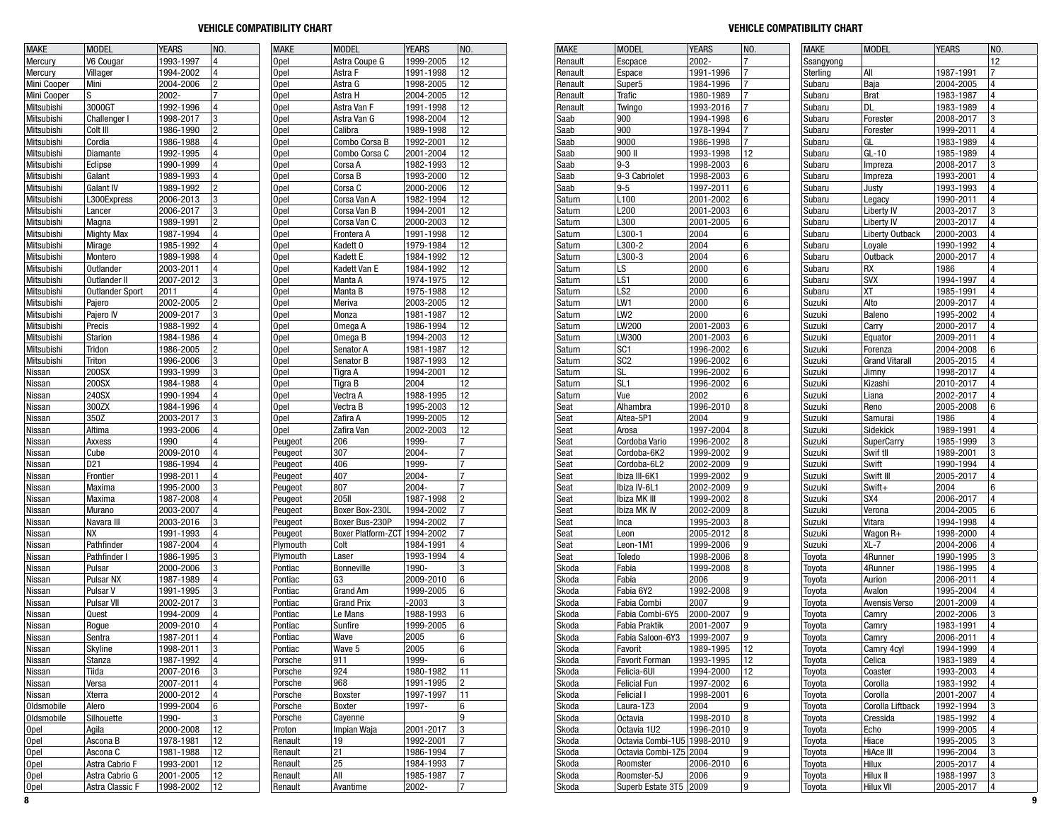| <b>MAKE</b>      | <b>MODEL</b>           | <b>YEARS</b>           | NO.            | <b>MAKE</b>        | <b>MODEL</b>                   | <b>YEARS</b>  | NO.            |
|------------------|------------------------|------------------------|----------------|--------------------|--------------------------------|---------------|----------------|
| Mercury          | V6 Cougar              | 1993-1997              | 4              | Opel               | Astra Coupe G                  | 1999-2005     | 12             |
| Mercury          | Villager               | 1994-2002              | 4              | Opel               | Astra F                        | 1991-1998     | 12             |
| Mini Cooper      | Mini                   | 2004-2006              | 2              | Opel               | Astra G                        | 1998-2005     | 12             |
| Mini Cooper      | S                      | 2002-                  | $\overline{7}$ | Opel               | Astra H                        | 2004-2005     | 12             |
| Mitsubishi       | 3000GT                 | 1992-1996              | 4              | Opel               | Astra Van F                    | 1991-1998     | 12             |
| Mitsubishi       | Challenger I           | 1998-2017              | 3              | Opel               | Astra Van G                    | 1998-2004     | 12             |
| Mitsubishi       | Colt III               | 1986-1990              | $\overline{c}$ | Opel               | Calibra                        | 1989-1998     | 12             |
| Mitsubishi       | Cordia                 | 1986-1988              | 4              | Opel               | Combo Corsa B                  | 1992-2001     | 12             |
| Mitsubishi       | Diamante               | 1992-1995              | 4              | Opel               | Combo Corsa C                  | 2001-2004     | 12             |
| Mitsubishi       | Eclipse                | 1990-1999              | 4              | Opel               | Corsa A                        | 1982-1993     | 12             |
| Mitsubishi       | Galant                 | 1989-1993              | 4              | Opel               | Corsa B                        | 1993-2000     | 12             |
| Mitsubishi       | Galant IV              | 1989-1992              | 2              | Opel               | Corsa C                        | 2000-2006     | 12             |
| Mitsubishi       | L300Express            | 2006-2013              | 3              | Opel               | Corsa Van A                    | 1982-1994     | 12             |
| Mitsubishi       | Lancer                 | 2006-2017              | 3              | Opel               | Corsa Van B                    | 1994-2001     | 12             |
| Mitsubishi       | Magna                  | 1989-1991              | 2              | Opel               | Corsa Van C                    | 2000-2003     | 12             |
| Mitsubishi       | <b>Mighty Max</b>      | 1987-1994              | 4              | Opel               | Frontera A                     | 1991-1998     | 12             |
| Mitsubishi       | Mirage                 | 1985-1992              | 4              | Opel               | Kadett 0                       | 1979-1984     | 12             |
| Mitsubishi       | Montero                | 1989-1998              | 4              | Opel               | Kadett E                       | 1984-1992     | 12             |
| Mitsubishi       | Outlander              | 2003-2011              | 4              | Opel               | Kadett Van E                   | 1984-1992     | 12             |
| Mitsubishi       | Outlander II           | 2007-2012              | 3              | Opel               | Manta A                        | 1974-1975     | 12             |
| Mitsubishi       | <b>Outlander Sport</b> | 2011                   | 4              | Opel               | Manta B                        | 1975-1988     | 12             |
| Mitsubishi       | Pajero                 | 2002-2005              | $\overline{c}$ | Opel               | Meriva                         | 2003-2005     | 12             |
| Mitsubishi       | Pajero IV              | 2009-2017              | 3              | Opel               | Monza                          | 1981-1987     | 12             |
| Mitsubishi       | Precis                 | 1988-1992              | 4              | Opel               | Omega A                        | 1986-1994     | 12             |
| Mitsubishi       | Starion                | 1984-1986              | 4              | Opel               | Omega B                        | 1994-2003     | 12             |
| Mitsubishi       | Tridon                 | 1986-2005              | $\overline{c}$ | Opel               | Senator A                      | 1981-1987     | 12             |
| Mitsubishi       | Triton                 | 1996-2006              | 3              | Opel               | Senator B                      | 1987-1993     | 12             |
| Nissan           | 200SX                  | 1993-1999              | 3              | Opel               | Tigra A                        | 1994-2001     | 12             |
| Nissan           | 200SX                  | 1984-1988              | 4              | Opel               | Tigra B                        | 2004          | 12             |
| Nissan           | 240SX                  | 1990-1994              | 4              | Opel               | Vectra A                       | 1988-1995     | 12             |
| Nissan           | 300ZX                  | 1984-1996              | 4              | Opel               | Vectra B                       | 1995-2003     | 12             |
| Nissan           | 350Z                   | 2003-2017              | 3              | Opel               | Zafira A                       | 1999-2005     | 12             |
| Nissan           | Altima                 | 1993-2006              | 4              | Opel               | Zafira Van                     | 2002-2003     | 12             |
| Nissan           | Axxess                 | 1990                   | 4              | Peugeot            | 206                            | 1999-         | 7              |
| Nissan           | Cube                   | 2009-2010              | 4              | Peugeot            | 307                            | 2004-         | 7              |
| Nissan           | D21                    | 1986-1994              | 4              | Peugeot            | 406                            | 1999-         | 7              |
| Nissan           | Frontier               | 1998-2011              | 4              | Peugeot            | 407                            | 2004-         | 7              |
| Nissan           | Maxima                 | 1995-2000              | 3              | Peugeot            | 807                            | 2004-         | 7              |
| Nissan           | Maxima                 | 1987-2008              | 4              | Peugeot            | <b>205II</b>                   | 1987-1998     | 2              |
| Nissan           | Murano                 | 2003-2007              | 4              | Peugeot            | Boxer Box-230L                 | 1994-2002     | 7              |
| Nissan           | Navara III             | 2003-2016              | 3              | Peugeot            | Boxer Bus-230P                 | 1994-2002     | 7              |
| Nissan           | <b>NX</b>              | 1991-1993              | 4              | Peugeot            | Boxer Platform-ZCT   1994-2002 |               | 7              |
| Nissan           | Pathfinder             | 1987-2004              | 4              | Plymouth           | Colt                           | 1984-1991     | 4              |
| Nissan           | Pathfinder I           | 1986-1995              | 3              | Plymouth           | Laser                          | 1993-1994     | 4              |
| Nissan           | Pulsar                 | 2000-2006              | 3              | Pontiac            | Bonneville                     | 1990-         | 3              |
| Nissan           | Pulsar NX              | 1987-1989              | 4              | Pontiac            | G3                             | 2009-2010     | 6              |
| Nissan           | Pulsar V               | 1991-1995              | 3              | Pontiac            | <b>Grand Am</b>                | 1999-2005     | 6              |
| Nissan           | <b>Pulsar VII</b>      | 2002-2017              | 3              | Pontiac            | <b>Grand Prix</b>              | $-2003$       | 3              |
| Nissan           | Quest                  | 1994-2009              | 4              | Pontiac            | Le Mans                        | 1988-1993     | 6              |
| Nissan           | Rogue                  | 2009-2010              | 4              | Pontiac            | Sunfire                        | 1999-2005     | 6              |
| Nissan           | Sentra                 | 1987-2011              | 4              | Pontiac            | Wave                           | 2005          | 6              |
|                  |                        |                        |                |                    |                                |               |                |
| Nissan           | Skyline                | 1998-2011<br>1987-1992 | 3<br>4         | Pontiac<br>Porsche | Wave 5<br>911                  | 2005<br>1999- | 6<br>6         |
| Nissan<br>Nissan | Stanza<br>Tiida        | 2007-2016              | 3              | Porsche            | 924                            | 1980-1982     |                |
|                  |                        |                        |                |                    |                                | 1991-1995     | 11             |
| Nissan           | Versa                  | 2007-2011              | 4<br>4         | Porsche            | 968                            |               | 2              |
| Nissan           | Xterra                 | 2000-2012              |                | Porsche<br>Porsche | Boxster<br>Boxter              | 1997-1997     | 11             |
| Oldsmobile       | Alero                  | 1999-2004              | 6              |                    |                                | 1997-         | 6              |
| Oldsmobile       | Silhouette             | 1990-                  | 3              | Porsche            | Cayenne                        |               | 9              |
| <b>Opel</b>      | Agila                  | 2000-2008              | 12             | Proton             | Impian Waja                    | 2001-2017     | 3              |
| <b>Opel</b>      | Ascona B               | 1978-1981              | 12             | Renault            | 19                             | 1992-2001     | 7              |
| Opel             | Ascona C               | 1981-1988              | 12             | Renault            | 21                             | 1986-1994     | 7              |
| Opel             | Astra Cabrio F         | 1993-2001              | 12             | Renault            | 25                             | 1984-1993     | 7              |
| <b>Opel</b>      | Astra Cabrio G         | 2001-2005              | 12             | Renault            | All                            | 1985-1987     | 7              |
| <b>Opel</b>      | Astra Classic F        | 1998-2002              | 12             | Renault            | Avantime                       | 2002-         | $\overline{7}$ |

| <b>MAKE</b>    | <b>MODEL</b>           | <b>YEARS</b> | NO. |
|----------------|------------------------|--------------|-----|
| Renault        | Escpace                | 2002-        | 7   |
| Renault        | Espace                 | 1991-1996    | 7   |
| Renault        | Super <sub>5</sub>     | 1984-1996    | 7   |
| Renault        | Trafic                 | 1980-1989    | 7   |
| Renault        | <b>Twingo</b>          | 1993-2016    | 7   |
| Saab           | 900                    | 1994-1998    | 6   |
| Saab           | 900                    | 1978-1994    | 7   |
| Saab           | 9000                   | 1986-1998    | 7   |
| Saab           | 900 II                 | 1993-1998    | 12  |
| Saab           | 9-3                    | 1998-2003    | 6   |
| Saab           | 9-3 Cabriolet          | 1998-2003    | 6   |
| Saab           | $9 - 5$                | 1997-2011    | 6   |
| Saturn         | L100                   | 2001-2002    | 6   |
|                | L200                   | 2001-2003    |     |
| Saturn         |                        |              | 6   |
| Saturn         | L300                   | 2001-2005    | 6   |
| Saturn         | L300-1                 | 2004         | 6   |
| Saturn         | L300-2                 | 2004         | 6   |
| Saturn         | L300-3                 | 2004         | 6   |
| Saturn         | LS                     | 2000         | 6   |
| Saturn         | LS1                    | 2000         | 6   |
| Saturn         | LS2                    | 2000         | 6   |
| Saturn         | LW1                    | 2000         | 6   |
| Saturn         | LW <sub>2</sub>        | 2000         | 6   |
| Saturn         | LW200                  | 2001-2003    | 6   |
| Saturn         | LW300                  | 2001-2003    | 6   |
| Saturn         | SC1                    | 1996-2002    | 6   |
| Saturn         | SC <sub>2</sub>        | 1996-2002    | 6   |
| Saturn         | SL                     | 1996-2002    | 6   |
| Saturn         | SL1                    | 1996-2002    | 6   |
| Saturn         | Vue                    | 2002         | 6   |
| Seat           | Alhambra               | 1996-2010    | 8   |
| Seat           | Altea-5P1              | 2004         | 9   |
|                |                        |              |     |
| Seat           | Arosa                  | 1997-2004    | 8   |
| Seat           | Cordoba Vario          | 1996-2002    | 8   |
| Seat           | Cordoba-6K2            | 1999-2002    | 9   |
| Seat           | Cordoba-6L2            | 2002-2009    | 9   |
| Seat           | Ibiza III-6K1          | 1999-2002    | 9   |
| Seat           | Ibiza IV-6L1           | 2002-2009    | 9   |
| Seat           | Ibiza MK III           | 1999-2002    | 8   |
| Seat           | Ibiza MK IV            | 2002-2009    | 8   |
| Seat           | Inca                   | 1995-2003    | 8   |
| Seat           | Leon                   | 2005-2012    | 8   |
| Seat           | Leon-1M1               | 1999-2006    | 9   |
| Seat           | Toledo                 | 1998-2006    | 8   |
| Skoda          | Fabia                  | 1999-2008    | 8   |
| Skoda          | Fabia                  | 2006         | 9   |
| Skoda          | Fabia 6Y2              | 1992-2008    | 9   |
| Skoda          | Fabia Combi            | 2007         | 9   |
| Skoda          | Fabia Combi-6Y5        | 2000-2007    | 9   |
| Skoda          | Fabia Praktik          | 2001-2007    | 9   |
| Skoda          | Fabia Saloon-6Y3       | 1999-2007    | 9   |
| Skoda          | Favorit                | 1989-1995    | 12  |
|                |                        | 1993-1995    | 12  |
| Skoda<br>Skoda | Favorit Forman         |              | 12  |
|                | Felicia-6UI            | 1994-2000    |     |
| Skoda          | <b>Felicial Fun</b>    | 1997-2002    | 6   |
| Skoda          | Felicial I             | 1998-2001    | 6   |
| Skoda          | Laura-1Z3              | 2004         | 9   |
| Skoda          | Octavia                | 1998-2010    | 8   |
| Skoda          | Octavia 1U2            | 1996-2010    | 9   |
| Skoda          | Octavia Combi-1U5      | 1998-2010    | 9   |
| Skoda          | Octavia Combi-1Z5 2004 |              | 9   |
| Skoda          | Roomster               | 2006-2010    | 6   |
| Skoda          | Roomster-5J            | 2006         | 9   |
| Skoda          | Superb Estate 3T5      | 2009         | 9   |
|                |                        |              |     |

| <b>MAKE</b>   | <b>MODEL</b>           | <b>YEARS</b> | NO. |
|---------------|------------------------|--------------|-----|
| Ssangyong     |                        |              | 12  |
| Sterling      | All                    | 1987-1991    | 7   |
| Subaru        | Baja                   | 2004-2005    | 4   |
|               | <b>Brat</b>            | 1983-1987    | 4   |
| Subaru        |                        |              |     |
| Subaru        | DL                     | 1983-1989    | 4   |
| Subaru        | Forester               | 2008-2017    | 3   |
| Subaru        | Forester               | 1999-2011    | 4   |
| Subaru        | GL                     | 1983-1989    | 4   |
| Subaru        | GL-10                  | 1985-1989    | 4   |
|               |                        | 2008-2017    | 3   |
| Subaru        | Impreza                |              |     |
| Subaru        | Impreza                | 1993-2001    | 4   |
| Subaru        | Justy                  | 1993-1993    | 4   |
| Subaru        | Legacy                 | 1990-2011    | 4   |
| Subaru        | Liberty IV             | 2003-2017    | 3   |
| Subaru        | <b>Liberty IV</b>      | 2003-2017    | 4   |
|               |                        |              |     |
| Subaru        | <b>Liberty Outback</b> | 2000-2003    | 4   |
| Subaru        | Loyale                 | 1990-1992    | 4   |
| Subaru        | <b>Outback</b>         | 2000-2017    | 4   |
| Subaru        | RX                     | 1986         | 4   |
| Subaru        | <b>SVX</b>             | 1994-1997    | 4   |
|               |                        |              | 4   |
| Subaru        | ΧT                     | 1985-1991    |     |
| Suzuki        | Alto                   | 2009-2017    | 4   |
| Suzuki        | Baleno                 | 1995-2002    | 4   |
| Suzuki        | Carry                  | 2000-2017    | 4   |
| Suzuki        | Equator                | 2009-2011    | 4   |
| Suzuki        | Forenza                | 2004-2008    | 6   |
|               |                        |              |     |
| Suzuki        | <b>Grand Vitarall</b>  | 2005-2015    | 4   |
| Suzuki        | Jimny                  | 1998-2017    | 4   |
| Suzuki        | Kizashi                | 2010-2017    | 4   |
| Suzuki        | Liana                  | 2002-2017    | 4   |
| Suzuki        | Reno                   | 2005-2008    | 6   |
|               |                        |              | 4   |
| Suzuki        | Samurai                | 1986         |     |
| Suzuki        | Sidekick               | 1989-1991    | 4   |
| Suzuki        | <b>SuperCarry</b>      | 1985-1999    | 3   |
| Suzuki        | Swif tll               | 1989-2001    | 3   |
| Suzuki        | Swift                  | 1990-1994    | 4   |
| Suzuki        | Swift III              | 2005-2017    | 4   |
|               |                        |              | 6   |
| Suzuki        | Swift+                 | 2004         |     |
| Suzuki        | SX4                    | 2006-2017    | 4   |
| Suzuki        | Verona                 | 2004-2005    | 6   |
| Suzuki        | Vitara                 | 1994-1998    | 4   |
| Suzuki        | Wagon R+               | 1998-2000    | 4   |
|               |                        |              |     |
| Suzuki        | XL-7                   | 2004-2006    | 4   |
| Toyota        | 4Runner                | 1990-1995    | 3   |
| Toyota        | 4Runner                | 1986-1995    | 4   |
| <b>Toyota</b> | Aurion                 | 2006-2011    | 4   |
| Toyota        | Avalon                 | 1995-2004    | 4   |
| Toyota        | Avensis Verso          | 2001-2009    | 4   |
|               |                        |              | 3   |
| Toyota        | Camry                  | 2002-2006    |     |
| Toyota        | Camry                  | 1983-1991    | 4   |
| Toyota        | Camry                  | 2006-2011    | 4   |
| Toyota        | Camry 4cyl             | 1994-1999    | 4   |
| Toyota        | Celica                 | 1983-1989    | 4   |
| Toyota        | Coaster                | 1993-2003    | 4   |
|               |                        |              |     |
| Toyota        | Corolla                | 1983-1992    | 4   |
| Toyota        | Corolla                | 2001-2007    | 4   |
| Toyota        | Corolla Liftback       | 1992-1994    | 3   |
| Toyota        | Cressida               | 1985-1992    | 4   |
| Toyota        | Echo                   | 1999-2005    | 4   |
|               |                        |              |     |
| Toyota        | Hiace                  | 1995-2005    | 3   |
| Toyota        | HiAce III              | 1996-2004    | 3   |
| Toyota        | Hilux                  | 2005-2017    | 4   |
| Toyota        | Hilux II               | 1988-1997    | 3   |
| Toyota        | Hilux VII              | 2005-2017    | 4   |
|               |                        |              |     |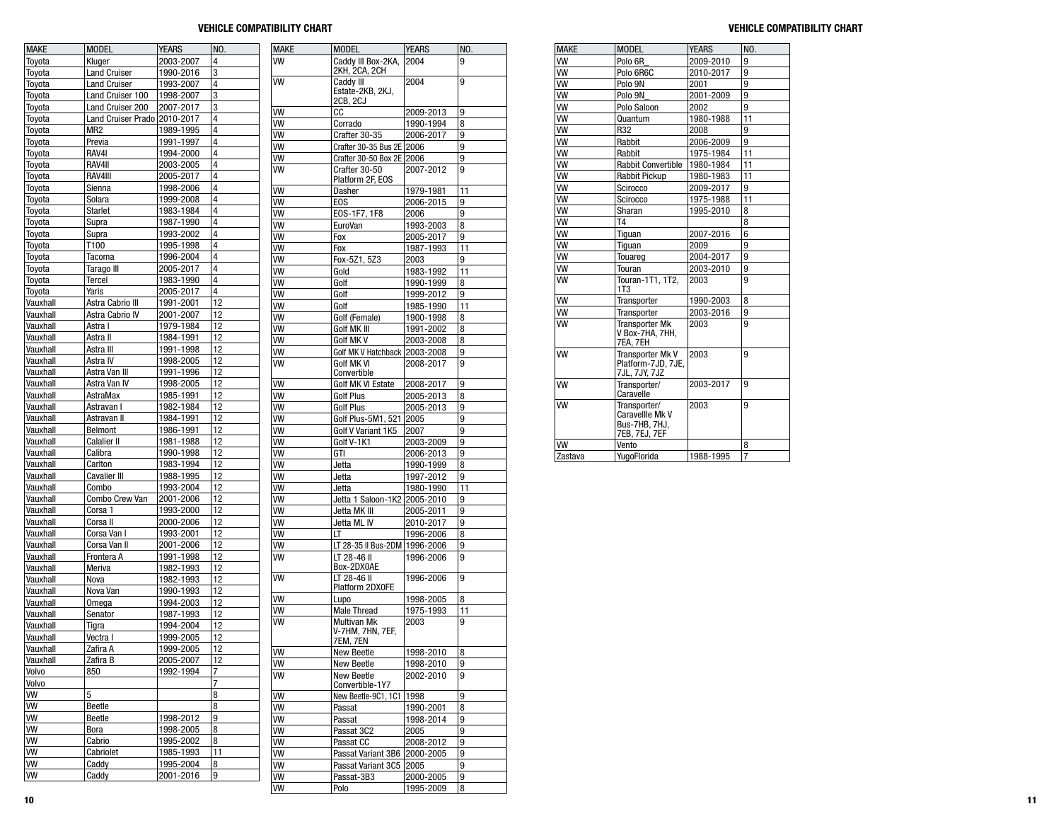| <b>MAKE</b>          | <b>MODEL</b>                 | <b>YEARS</b>           | NO.      | <b>MAKE</b>     | <b>MODEL</b>                           | <b>YEARS</b>           | NO.     |
|----------------------|------------------------------|------------------------|----------|-----------------|----------------------------------------|------------------------|---------|
| Toyota               | Kluger                       | 2003-2007              | 4        | w               | Caddy III Box-2KA,                     | 2004                   | 9       |
| Toyota               | <b>Land Cruiser</b>          | 1990-2016              | 3        |                 | 2KH, 2CA, 2CH                          |                        |         |
| Toyota               | <b>Land Cruiser</b>          | 1993-2007              | 4        | <b>VW</b>       | Caddy III<br>Estate-2KB, 2KJ,          | 2004                   | 9       |
| Toyota               | Land Cruiser 100             | 1998-2007              | 3        |                 | 2CB, 2CJ                               |                        |         |
| Toyota               | Land Cruiser 200             | 2007-2017              | 3        | <b>VW</b>       | СC                                     | 2009-2013              | 9       |
| Toyota               | Land Cruiser Prado 2010-2017 |                        | 4        | VW              | Corrado                                | 1990-1994              | 8       |
| Toyota               | MR <sub>2</sub>              | 1989-1995              | 4        | VW              | Crafter 30-35                          | 2006-2017              | 9       |
| Toyota               | Previa                       | 1991-1997              | 4        | VW              | Crafter 30-35 Bus 2E 2006              |                        | 9       |
| Toyota               | RAV4I<br>RAV4II              | 1994-2000              | 4<br>4   | w               | Crafter 30-50 Box 2E 2006              |                        | 9       |
| Toyota<br>Toyota     | RAV4III                      | 2003-2005<br>2005-2017 | 4        | w               | Crafter 30-50                          | 2007-2012              | 9       |
| Toyota               | Sienna                       | 1998-2006              | 4        |                 | Platform 2F, EOS                       |                        |         |
| Toyota               | Solara                       | 1999-2008              | 4        | VW              | Dasher                                 | 1979-1981              | 11      |
| Toyota               | <b>Starlet</b>               | 1983-1984              | 4        | W<br><b>VW</b>  | E <sub>O</sub> S                       | 2006-2015              | 9       |
| Toyota               | Supra                        | 1987-1990              | 4        | <b>VW</b>       | EOS-1F7, 1F8<br>EuroVan                | 2006<br>1993-2003      | 9<br>8  |
| Toyota               | Supra                        | 1993-2002              | 4        | VW              | Fox                                    | 2005-2017              | 9       |
| Toyota               | T100                         | 1995-1998              | 4        | VW              | Fox                                    | 1987-1993              | 11      |
| Toyota               | Tacoma                       | 1996-2004              | 4        | VW              | Fox-5Z1, 5Z3                           | 2003                   | 9       |
| Toyota               | Tarago III                   | 2005-2017              | 4        | VW              | Gold                                   | 1983-1992              | 11      |
| Toyota               | Tercel                       | 1983-1990              | 4        | w               | Golf                                   | 1990-1999              | 8       |
| Toyota               | Yaris                        | 2005-2017              | 4        | VW              | Golf                                   | 1999-2012              | 9       |
| Vauxhall             | Astra Cabrio III             | 1991-2001              | 12       | <b>VW</b>       | Golf                                   | 1985-1990              | 11      |
| Vauxhall             | Astra Cabrio IV              | 2001-2007              | 12       | <b>VW</b>       | Golf (Female)                          | 1900-1998              | 8       |
| Vauxhall             | Astra I                      | 1979-1984              | 12       | VW              | Golf MK III                            | 1991-2002              | 8       |
| Vauxhall             | Astra II                     | 1984-1991              | 12       | <b>VW</b>       | <b>Golf MK V</b>                       | 2003-2008              | 8       |
| Vauxhall             | Astra III                    | 1991-1998              | 12       | VW              | Golf MK V Hatchback                    | 2003-2008              | 9       |
| Vauxhall             | Astra IV                     | 1998-2005              | 12       | <b>VW</b>       | Golf MK VI                             | 2008-2017              | 9       |
| Vauxhall             | Astra Van III                | 1991-1996              | 12       |                 | Convertible                            |                        |         |
| Vauxhall             | Astra Van IV                 | 1998-2005              | 12       | VW              | Golf MK VI Estate                      | 2008-2017              | 9       |
| Vauxhall             | AstraMax                     | 1985-1991              | 12       | VW              | <b>Golf Plus</b>                       | 2005-2013              | 8       |
| Vauxhall             | Astravan I                   | 1982-1984              | 12       | W               | Golf Plus                              | 2005-2013              | 9       |
| Vauxhall             | Astravan II                  | 1984-1991              | 12       | <b>VW</b>       | Golf Plus-5M1, 521                     | 2005                   | 9       |
| Vauxhall             | Belmont                      | 1986-1991              | 12       | <b>VW</b>       | Golf V Variant 1K5                     | 2007                   | 9       |
| Vauxhall             | <b>Calalier II</b>           | 1981-1988              | 12       | VW              | Golf V-1K1                             | 2003-2009              | 9       |
| Vauxhall<br>Vauxhall | Calibra<br>Carlton           | 1990-1998<br>1983-1994 | 12<br>12 | VW              | GTI                                    | 2006-2013              | 9       |
| Vauxhall             | <b>Cavalier III</b>          | 1988-1995              | 12       | VW<br><b>VW</b> | Jetta                                  | 1990-1999              | 8       |
| Vauxhall             | Combo                        | 1993-2004              | 12       | w               | Jetta<br>Jetta                         | 1997-2012<br>1980-1990 | 9<br>11 |
| Vauxhall             | Combo Crew Van               | 2001-2006              | 12       | W               | Jetta 1 Saloon-1K2                     | 2005-2010              | 9       |
| Vauxhall             | Corsa 1                      | 1993-2000              | 12       | VW              | Jetta MK III                           | 2005-2011              | 9       |
| Vauxhall             | Corsa II                     | 2000-2006              | 12       | W               | Jetta ML IV                            | 2010-2017              | 9       |
| Vauxhall             | Corsa Van I                  | 1993-2001              | 12       | VW              | LT                                     | 1996-2006              | 8       |
| Vauxhall             | Corsa Van II                 | 2001-2006              | 12       | VW              | LT 28-35 II Bus-2DM                    | 1996-2006              | 9       |
| Vauxhall             | Frontera A                   | 1991-1998              | 12       | <b>VW</b>       | LT 28-46 II                            | 1996-2006              | 9       |
| Vauxhall             | Meriva                       | 1982-1993              | 12       |                 | Box-2DX0AE                             |                        |         |
| Vauxhall             | Nova                         | 1982-1993              | 12       | VW              | LT 28-46 II                            | 1996-2006              | 9       |
| Vauxhall             | Nova Van                     | 1990-1993              | 12       |                 | Platform 2DX0FE                        |                        |         |
| Vauxhall             | Omega                        | 1994-2003              | 12       | <b>VW</b>       | Lupo                                   | 1998-2005              | 8       |
| Vauxhall             | Senator                      | 1987-1993              | 12       | VW              | <b>Male Thread</b>                     | 1975-1993              | 11      |
| Vauxhall             | Tigra                        | 1994-2004              | 12       | <b>VW</b>       | <b>Multivan Mk</b><br>V-7HM, 7HN, 7EF, | 2003                   | 9       |
| Vauxhall             | Vectra I                     | 1999-2005              | 12       |                 | 7EM, 7EN                               |                        |         |
| Vau <u>xhaii</u>     | Zatira A                     | 1999-2005              | 12       | $\sqrt{W}$      | New Beetle                             | 1998-2010              | 8       |
| Vauxhall             | Zafira B                     | 2005-2007              | 12       | <b>VW</b>       | New Beetle                             | 1998-2010              | 9       |
| Volvo                | 850                          | 1992-1994              | 7        | WV              | New Beetle                             | 2002-2010              | 9       |
| Volvo                |                              |                        | 7        |                 | Convertible-1Y7                        |                        |         |
| VW                   | 5                            |                        | 8        | <b>VW</b>       | New Beetle-9C1, 1C1                    | 1998                   | 9       |
| VW                   | Beetle                       |                        | 8        | WV              | Passat                                 | 1990-2001              | 8       |
| VW                   | Beetle                       | 1998-2012              | 9        | WV              | Passat                                 | 1998-2014              | 9       |
| VW                   | Bora                         | 1998-2005              | 8        | VW              | Passat 3C2                             | 2005                   | 9       |
| VW                   | Cabrio                       | 1995-2002              | 8        | w               | Passat CC                              | 2008-2012              | 9       |
| VW                   | Cabriolet                    | 1985-1993              | 11       | VW              | Passat Variant 3B6                     | 2000-2005              | 9       |
| <b>VW</b>            | Caddy                        | 1995-2004              | 8        | WV              | Passat Variant 3C5   2005              |                        | 9       |
| <b>VW</b>            | Caddy                        | 2001-2016              | 9        | W               | Passat-3B3                             | 2000-2005              | 9       |
|                      |                              |                        |          | VW              | Polo                                   | 1995-2009              | 8       |

| <b>MAKE</b> | <b>MODEL</b>                                                      | <b>YEARS</b> | NO.            |
|-------------|-------------------------------------------------------------------|--------------|----------------|
| <b>VW</b>   | Polo 6R                                                           | 2009-2010    | 9              |
| <b>VW</b>   | Polo 6R6C                                                         | 2010-2017    | 9              |
| <b>VW</b>   | Polo 9N                                                           | 2001         | 9              |
| <b>VW</b>   | Polo 9N                                                           | 2001-2009    | 9              |
| <b>VW</b>   | Polo Saloon                                                       | 2002         | 9              |
| <b>VW</b>   | Quantum                                                           | 1980-1988    | 11             |
| <b>VW</b>   | R32                                                               | 2008         | 9              |
| <b>VW</b>   | Rabbit                                                            | 2006-2009    | 9              |
| <b>VW</b>   | Rabbit                                                            | 1975-1984    | 11             |
| <b>VW</b>   | <b>Rabbit Convertible</b>                                         | 1980-1984    | 11             |
| <b>VW</b>   | <b>Rabbit Pickup</b>                                              | 1980-1983    | 11             |
| <b>VW</b>   | Scirocco                                                          | 2009-2017    | 9              |
| <b>VW</b>   | Scirocco                                                          | 1975-1988    | 11             |
| <b>VW</b>   | Sharan                                                            | 1995-2010    | 8              |
| <b>VW</b>   | T4                                                                |              | 8              |
| <b>VW</b>   | Tiguan                                                            | 2007-2016    | 6              |
| <b>VW</b>   | Tiguan                                                            | 2009         | 9              |
| <b>VW</b>   | Touareg                                                           | 2004-2017    | 9              |
| <b>VW</b>   | Touran                                                            | 2003-2010    | 9              |
| <b>VW</b>   | Touran-1T1, 1T2.<br>1T <sub>3</sub>                               | 2003         | 9              |
| <b>VW</b>   | Transporter                                                       | 1990-2003    | 8              |
| <b>VW</b>   | Transporter                                                       | 2003-2016    | 9              |
| <b>VW</b>   | <b>Transporter Mk</b><br>V Box-7HA, 7HH,<br>7EA. 7EH              | 2003         | 9              |
| <b>VW</b>   | Transporter Mk V<br>Platform-7JD, 7JE,<br>7JL, 7JY, 7JZ           | 2003         | 9              |
| <b>VW</b>   | Transporter/<br>Caravelle                                         | 2003-2017    | 9              |
| <b>VW</b>   | Transporter/<br>Caravellle Mk V<br>Bus-7HB, 7HJ,<br>7EB, 7EJ, 7EF | 2003         | 9              |
| <b>VW</b>   | Vento                                                             |              | 8              |
| Zastava     | YugoFlorida                                                       | 1988-1995    | $\overline{7}$ |